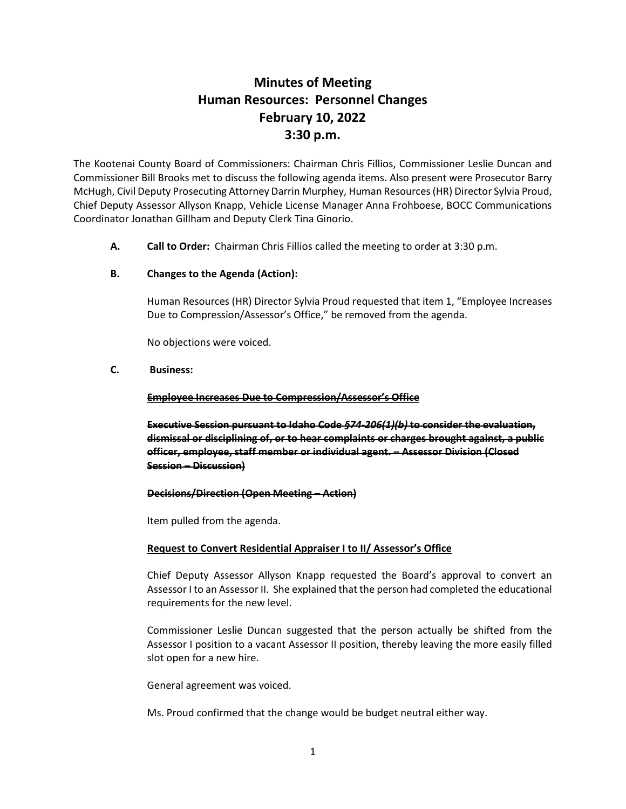# **Minutes of Meeting Human Resources: Personnel Changes February 10, 2022 3:30 p.m.**

The Kootenai County Board of Commissioners: Chairman Chris Fillios, Commissioner Leslie Duncan and Commissioner Bill Brooks met to discuss the following agenda items. Also present were Prosecutor Barry McHugh, Civil Deputy Prosecuting Attorney Darrin Murphey, Human Resources (HR) Director Sylvia Proud, Chief Deputy Assessor Allyson Knapp, Vehicle License Manager Anna Frohboese, BOCC Communications Coordinator Jonathan Gillham and Deputy Clerk Tina Ginorio.

**A. Call to Order:** Chairman Chris Fillios called the meeting to order at 3:30 p.m.

## **B. Changes to the Agenda (Action):**

Human Resources (HR) Director Sylvia Proud requested that item 1, "Employee Increases Due to Compression/Assessor's Office," be removed from the agenda.

No objections were voiced.

## **C. Business:**

### **Employee Increases Due to Compression/Assessor's Office**

**Executive Session pursuant to Idaho Code** *§74-206(1)(b)* **to consider the evaluation, dismissal or disciplining of, or to hear complaints or charges brought against, a public officer, employee, staff member or individual agent. – Assessor Division (Closed Session – Discussion)**

### **Decisions/Direction (Open Meeting – Action)**

Item pulled from the agenda.

# **Request to Convert Residential Appraiser I to II/ Assessor's Office**

Chief Deputy Assessor Allyson Knapp requested the Board's approval to convert an Assessor I to an Assessor II. She explained that the person had completed the educational requirements for the new level.

Commissioner Leslie Duncan suggested that the person actually be shifted from the Assessor I position to a vacant Assessor II position, thereby leaving the more easily filled slot open for a new hire.

General agreement was voiced.

Ms. Proud confirmed that the change would be budget neutral either way.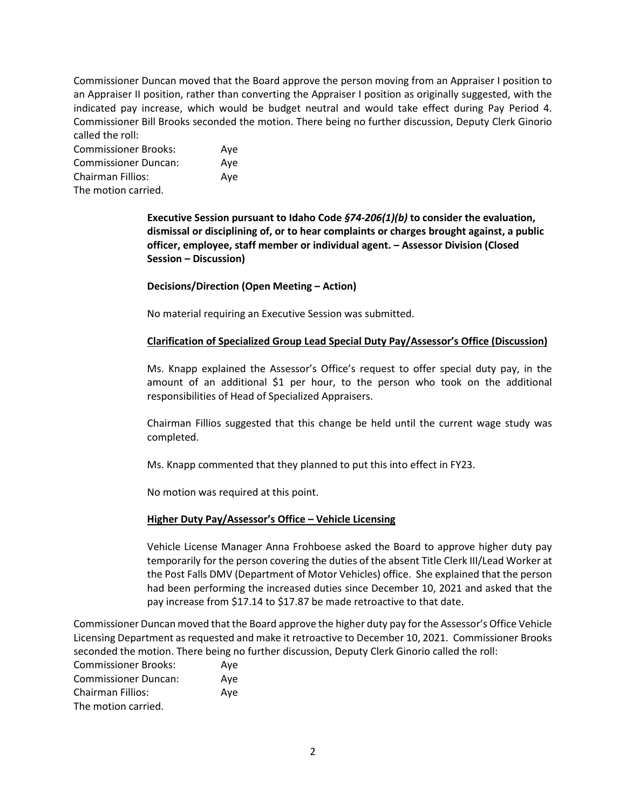Commissioner Duncan moved that the Board approve the person moving from an Appraiser I position to an Appraiser II position, rather than converting the Appraiser I position as originally suggested, with the indicated pay increase, which would be budget neutral and would take effect during Pay Period 4. Commissioner Bill Brooks seconded the motion. There being no further discussion, Deputy Clerk Ginorio called the roll:

Commissioner Brooks: Aye Commissioner Duncan: Aye Chairman Fillios: Aye The motion carried.

> **Executive Session pursuant to Idaho Code** *§74-206(1)(b)* **to consider the evaluation, dismissal or disciplining of, or to hear complaints or charges brought against, a public officer, employee, staff member or individual agent. – Assessor Division (Closed Session – Discussion)**

**Decisions/Direction (Open Meeting – Action)**

No material requiring an Executive Session was submitted.

# **Clarification of Specialized Group Lead Special Duty Pay/Assessor's Office (Discussion)**

Ms. Knapp explained the Assessor's Office's request to offer special duty pay, in the amount of an additional \$1 per hour, to the person who took on the additional responsibilities of Head of Specialized Appraisers.

Chairman Fillios suggested that this change be held until the current wage study was completed.

Ms. Knapp commented that they planned to put this into effect in FY23.

No motion was required at this point.

# **Higher Duty Pay/Assessor's Office – Vehicle Licensing**

Vehicle License Manager Anna Frohboese asked the Board to approve higher duty pay temporarily for the person covering the duties of the absent Title Clerk III/Lead Worker at the Post Falls DMV (Department of Motor Vehicles) office. She explained that the person had been performing the increased duties since December 10, 2021 and asked that the pay increase from \$17.14 to \$17.87 be made retroactive to that date.

Commissioner Duncan moved that the Board approve the higher duty pay for the Assessor's Office Vehicle Licensing Department as requested and make it retroactive to December 10, 2021. Commissioner Brooks seconded the motion. There being no further discussion, Deputy Clerk Ginorio called the roll:

| <b>Commissioner Brooks:</b> | Aye |
|-----------------------------|-----|
| <b>Commissioner Duncan:</b> | Ave |
| Chairman Fillios:           | Aye |
| The motion carried.         |     |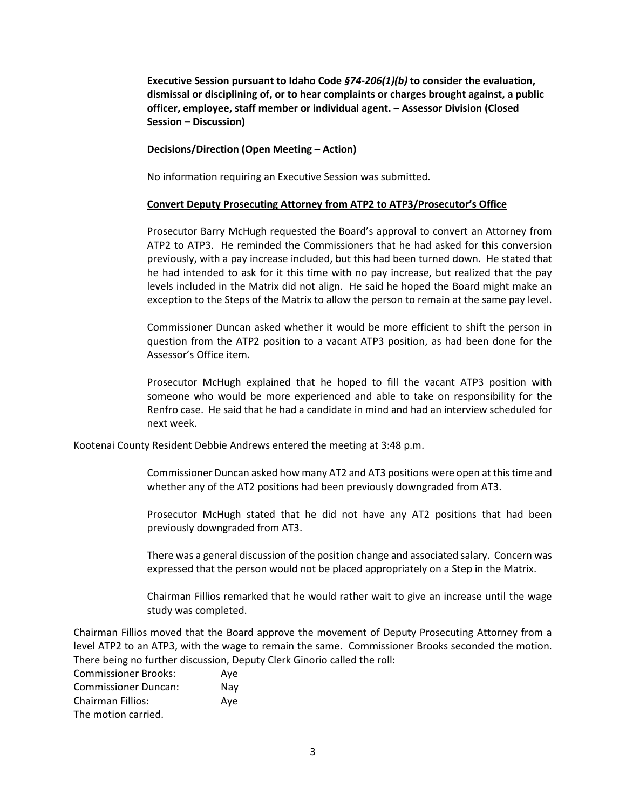**Executive Session pursuant to Idaho Code** *§74-206(1)(b)* **to consider the evaluation, dismissal or disciplining of, or to hear complaints or charges brought against, a public officer, employee, staff member or individual agent. – Assessor Division (Closed Session – Discussion)**

**Decisions/Direction (Open Meeting – Action)**

No information requiring an Executive Session was submitted.

### **Convert Deputy Prosecuting Attorney from ATP2 to ATP3/Prosecutor's Office**

Prosecutor Barry McHugh requested the Board's approval to convert an Attorney from ATP2 to ATP3. He reminded the Commissioners that he had asked for this conversion previously, with a pay increase included, but this had been turned down. He stated that he had intended to ask for it this time with no pay increase, but realized that the pay levels included in the Matrix did not align. He said he hoped the Board might make an exception to the Steps of the Matrix to allow the person to remain at the same pay level.

Commissioner Duncan asked whether it would be more efficient to shift the person in question from the ATP2 position to a vacant ATP3 position, as had been done for the Assessor's Office item.

Prosecutor McHugh explained that he hoped to fill the vacant ATP3 position with someone who would be more experienced and able to take on responsibility for the Renfro case. He said that he had a candidate in mind and had an interview scheduled for next week.

Kootenai County Resident Debbie Andrews entered the meeting at 3:48 p.m.

Commissioner Duncan asked how many AT2 and AT3 positions were open at this time and whether any of the AT2 positions had been previously downgraded from AT3.

Prosecutor McHugh stated that he did not have any AT2 positions that had been previously downgraded from AT3.

There was a general discussion of the position change and associated salary. Concern was expressed that the person would not be placed appropriately on a Step in the Matrix.

Chairman Fillios remarked that he would rather wait to give an increase until the wage study was completed.

Chairman Fillios moved that the Board approve the movement of Deputy Prosecuting Attorney from a level ATP2 to an ATP3, with the wage to remain the same. Commissioner Brooks seconded the motion. There being no further discussion, Deputy Clerk Ginorio called the roll:

Commissioner Brooks: Aye Commissioner Duncan: Nay Chairman Fillios: Aye The motion carried.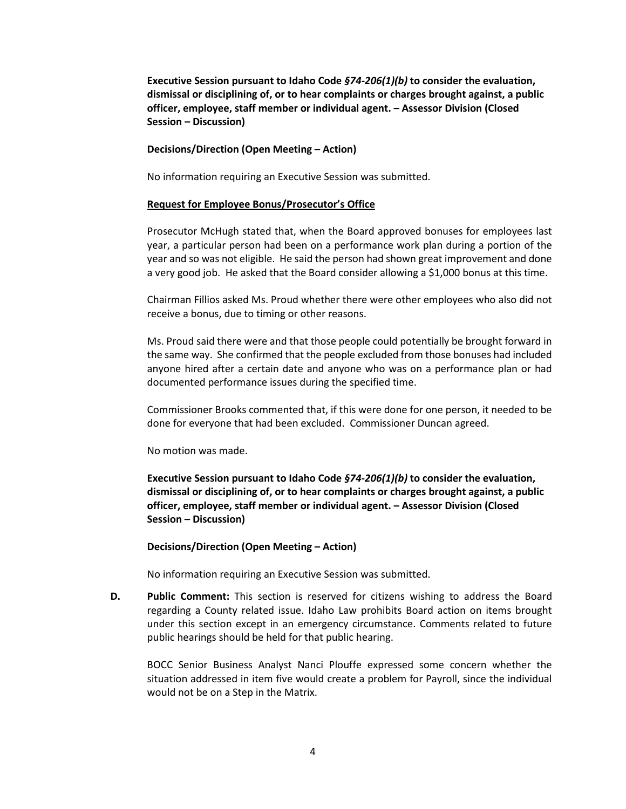**Executive Session pursuant to Idaho Code** *§74-206(1)(b)* **to consider the evaluation, dismissal or disciplining of, or to hear complaints or charges brought against, a public officer, employee, staff member or individual agent. – Assessor Division (Closed Session – Discussion)**

#### **Decisions/Direction (Open Meeting – Action)**

No information requiring an Executive Session was submitted.

#### **Request for Employee Bonus/Prosecutor's Office**

Prosecutor McHugh stated that, when the Board approved bonuses for employees last year, a particular person had been on a performance work plan during a portion of the year and so was not eligible. He said the person had shown great improvement and done a very good job. He asked that the Board consider allowing a \$1,000 bonus at this time.

Chairman Fillios asked Ms. Proud whether there were other employees who also did not receive a bonus, due to timing or other reasons.

Ms. Proud said there were and that those people could potentially be brought forward in the same way. She confirmed that the people excluded from those bonuses had included anyone hired after a certain date and anyone who was on a performance plan or had documented performance issues during the specified time.

Commissioner Brooks commented that, if this were done for one person, it needed to be done for everyone that had been excluded. Commissioner Duncan agreed.

No motion was made.

**Executive Session pursuant to Idaho Code** *§74-206(1)(b)* **to consider the evaluation, dismissal or disciplining of, or to hear complaints or charges brought against, a public officer, employee, staff member or individual agent. – Assessor Division (Closed Session – Discussion)**

#### **Decisions/Direction (Open Meeting – Action)**

No information requiring an Executive Session was submitted.

**D. Public Comment:** This section is reserved for citizens wishing to address the Board regarding a County related issue. Idaho Law prohibits Board action on items brought under this section except in an emergency circumstance. Comments related to future public hearings should be held for that public hearing.

BOCC Senior Business Analyst Nanci Plouffe expressed some concern whether the situation addressed in item five would create a problem for Payroll, since the individual would not be on a Step in the Matrix.